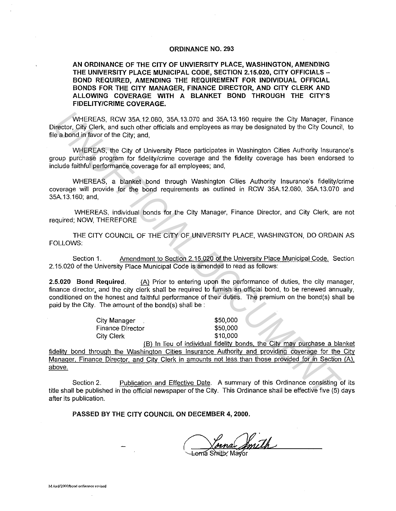## **ORDINANCE NO. 293**

**AN ORDINANCE OF THE CITY OF UNVIERSITY PLACE, WASHINGTON, AMENDING**  THE UNIVERSITY PLACE MUNICIPAL CODE, SECTION 2.15.020, CITY OFFICIALS -**BOND REQUIRED, AMENDING THE REQUIREMENT FOR INDIVIDUAL OFFICIAL BONDS FOR THE CITY MANAGER, FINANCE DIRECTOR, AND CITY CLERK AND ALLOWING COVERAGE WITH A BLANKET BOND THROUGH THE CITY'S FIDELITY/CRIME COVERAGE.** 

WHEREAS, RCW 35A.12.080, 35A.13.070 and 35A.13.160 require the City Manager, Finance Director, City Clerk, and such other officials and employees as may be designated by the City Council, to file a bond in favor of the City; and,

WHEREAS, the City of University Place participates **in** Washington Cities Authority Insurance's group purchase program for fidelity/crime coverage and the fidelity coverage has been endorsed to include faithful performance coverage for all employees; and,

WHEREAS, a blanket bond through Washington Cities Authority Insurance's fidelity/crime coverage will provide for the bond requirements as outlined in RCW 35A.12.080, 35A.13.070 and 35A.13.160; and,

WHEREAS, individual bonds for the City Manager, Finance Director, and City Clerk, are not required; NOW, THEREFORE

THE CITY COUNCIL OF THE CITY OF UNIVERSITY PLACE, WASHINGTON, DO ORDAIN AS FOLLOWS:

Section 1. Amendment to Section 2.15.020 of the University Place Municipal Code. Section 2.15.020 of the University Place Municipal Code is amended to read as follows:

**2.5.020 Bond Required.** (A) Prior to entering upon the performance of duties, the city manager, finance director, and the city clerk shall be required to furnish an official bond, to be renewed annually. conditioned on the honest and faithful performance of their duties. The premium on the bond(s) shall be paid by the City. The amount of the bond(s) shall be :

> City Manager Finance Director City Clerk

\$50,000 \$50,000 \$10,000

(Bl In lieu of individual fidelity bonds, the City may purchase a blanket fidelity bond through the Washington Cities Insurance Authority and providing coverage for the City Manager. Finance Director. and City Clerk in amounts not less than those provided for **in** Section (Al, above. WHEREAS, RCW 35A.12.080, 35A.13.070 and 35A.13.160 require the City Manager, Finare a borid of favor of the City and such others rificials and employees as may be designated by the City Council<br>
verset City, and such other

Section 2. Publication and Effective Date. A summary of this Ordinance consisting of its title shall be published **in** the official newspaper of the City. This Ordinance shall be effective five (5) days after its publication.

**PASSED BY THE CITY COUNCIL ON DECEMBER 4, 2000.** 

Joina Joneth